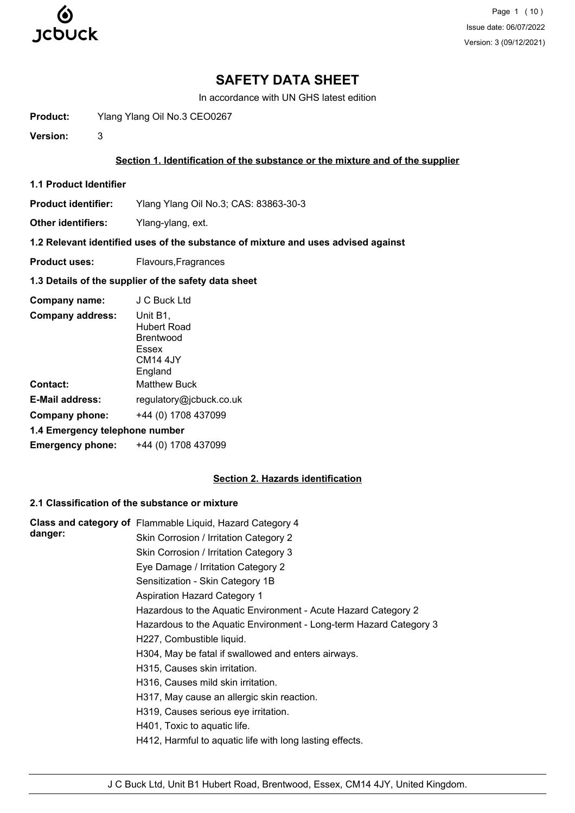

Page 1 (10) Issue date: 06/07/2022 Version: 3 (09/12/2021)

## **SAFETY DATA SHEET**

In accordance with UN GHS latest edition

**Product:** Ylang Ylang Oil No.3 CEO0267

**Version:** 3

### **Section 1. Identification of the substance or the mixture and of the supplier**

**1.1 Product Identifier**

**Product identifier:** Ylang Ylang Oil No.3; CAS: 83863-30-3

**Other identifiers:** Ylang-ylang, ext.

### **1.2 Relevant identified uses of the substance of mixture and uses advised against**

**Product uses:** Flavours, Fragrances

## **1.3 Details of the supplier of the safety data sheet**

| Company name:                  | J C Buck Ltd                                                                     |
|--------------------------------|----------------------------------------------------------------------------------|
| <b>Company address:</b>        | Unit B1,<br>Hubert Road<br>Brentwood<br>Essex<br>CM <sub>14</sub> 4JY<br>England |
| <b>Contact:</b>                | <b>Matthew Buck</b>                                                              |
| <b>E-Mail address:</b>         | regulatory@jcbuck.co.uk                                                          |
| Company phone:                 | +44 (0) 1708 437099                                                              |
| 1.4 Emergency telephone number |                                                                                  |
| <b>Emergency phone:</b>        | +44 (0) 1708 437099                                                              |

## **Section 2. Hazards identification**

## **2.1 Classification of the substance or mixture**

|         | Class and category of Flammable Liquid, Hazard Category 4          |
|---------|--------------------------------------------------------------------|
| danger: | Skin Corrosion / Irritation Category 2                             |
|         | Skin Corrosion / Irritation Category 3                             |
|         | Eye Damage / Irritation Category 2                                 |
|         | Sensitization - Skin Category 1B                                   |
|         | Aspiration Hazard Category 1                                       |
|         | Hazardous to the Aquatic Environment - Acute Hazard Category 2     |
|         | Hazardous to the Aquatic Environment - Long-term Hazard Category 3 |
|         | H227, Combustible liquid.                                          |
|         | H304, May be fatal if swallowed and enters airways.                |
|         | H315, Causes skin irritation.                                      |
|         | H316, Causes mild skin irritation.                                 |
|         | H317, May cause an allergic skin reaction.                         |
|         | H319, Causes serious eye irritation.                               |
|         | H401, Toxic to aquatic life.                                       |
|         | H412, Harmful to aquatic life with long lasting effects.           |
|         |                                                                    |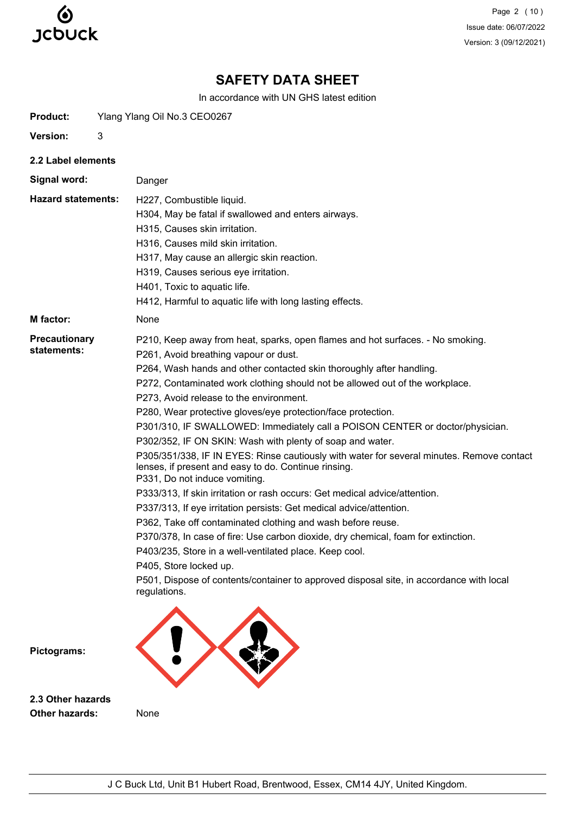

Page 2 (10) Issue date: 06/07/2022 Version: 3 (09/12/2021)

# **SAFETY DATA SHEET**

In accordance with UN GHS latest edition

| <b>Product:</b> | Ylang Ylang Oil No.3 CEO0267 |  |
|-----------------|------------------------------|--|
|                 |                              |  |

**Version:** 3

**2.2 Label elements**

**Signal word:** Danger

H227, Combustible liquid. **Hazard statements:**

- H304, May be fatal if swallowed and enters airways.
	- H315, Causes skin irritation.
	- H316, Causes mild skin irritation.
	- H317, May cause an allergic skin reaction.
	- H319, Causes serious eye irritation.
	- H401, Toxic to aquatic life.
	- H412, Harmful to aquatic life with long lasting effects.

**M factor:** None

**Precautionary statements:**

- P210, Keep away from heat, sparks, open flames and hot surfaces. No smoking.
	- P261, Avoid breathing vapour or dust.
		- P264, Wash hands and other contacted skin thoroughly after handling.
			- P272, Contaminated work clothing should not be allowed out of the workplace.
		- P273, Avoid release to the environment.
		- P280, Wear protective gloves/eye protection/face protection.
		- P301/310, IF SWALLOWED: Immediately call a POISON CENTER or doctor/physician.
		- P302/352, IF ON SKIN: Wash with plenty of soap and water.
		- P305/351/338, IF IN EYES: Rinse cautiously with water for several minutes. Remove contact lenses, if present and easy to do. Continue rinsing.
		- P331, Do not induce vomiting.
		- P333/313, If skin irritation or rash occurs: Get medical advice/attention.
		- P337/313, If eye irritation persists: Get medical advice/attention.
		- P362, Take off contaminated clothing and wash before reuse.
		- P370/378, In case of fire: Use carbon dioxide, dry chemical, foam for extinction.
		- P403/235, Store in a well-ventilated place. Keep cool.
		- P405, Store locked up.
		- P501, Dispose of contents/container to approved disposal site, in accordance with local regulations.



**Pictograms:**

**2.3 Other hazards Other hazards:** None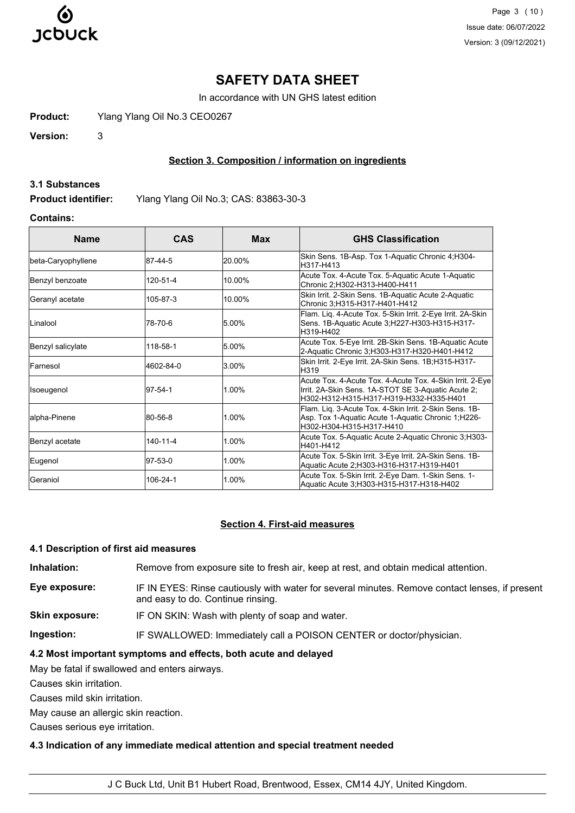

Page 3 (10) Issue date: 06/07/2022 Version: 3 (09/12/2021)

## **SAFETY DATA SHEET**

In accordance with UN GHS latest edition

**Product:** Ylang Ylang Oil No.3 CEO0267

**Version:** 3

## **Section 3. Composition / information on ingredients**

#### **3.1 Substances**

**Product identifier:** Ylang Ylang Oil No.3; CAS: 83863-30-3

## **Contains:**

| <b>Name</b>        | CAS       | <b>Max</b> | <b>GHS Classification</b>                                                                                                                                  |  |
|--------------------|-----------|------------|------------------------------------------------------------------------------------------------------------------------------------------------------------|--|
| beta-Caryophyllene | 187-44-5  | 20.00%     | Skin Sens. 1B-Asp. Tox 1-Aquatic Chronic 4; H304-<br>H317-H413                                                                                             |  |
| Benzyl benzoate    | 120-51-4  | 10.00%     | Acute Tox. 4-Acute Tox. 5-Aquatic Acute 1-Aquatic<br>Chronic 2;H302-H313-H400-H411                                                                         |  |
| Geranyl acetate    | 105-87-3  | 10.00%     | Skin Irrit. 2-Skin Sens. 1B-Aquatic Acute 2-Aquatic<br>Chronic 3;H315-H317-H401-H412                                                                       |  |
| Linalool           | 78-70-6   | 5.00%      | Flam. Liq. 4-Acute Tox. 5-Skin Irrit. 2-Eye Irrit. 2A-Skin<br>Sens. 1B-Aquatic Acute 3; H227-H303-H315-H317-<br>H319-H402                                  |  |
| Benzyl salicylate  | 118-58-1  | 5.00%      | Acute Tox. 5-Eye Irrit. 2B-Skin Sens. 1B-Aquatic Acute<br>2-Aquatic Chronic 3;H303-H317-H320-H401-H412                                                     |  |
| Farnesol           | 4602-84-0 | 3.00%      | Skin Irrit. 2-Eye Irrit. 2A-Skin Sens. 1B;H315-H317-<br>H319                                                                                               |  |
| Isoeugenol         | 97-54-1   | 1.00%      | Acute Tox. 4-Acute Tox. 4-Acute Tox. 4-Skin Irrit. 2-Eye<br>Irrit. 2A-Skin Sens. 1A-STOT SE 3-Aquatic Acute 2;<br>lH302-H312-H315-H317-H319-H332-H335-H401 |  |
| alpha-Pinene       | 80-56-8   | 1.00%      | Flam. Liq. 3-Acute Tox. 4-Skin Irrit. 2-Skin Sens. 1B-<br>Asp. Tox 1-Aquatic Acute 1-Aquatic Chronic 1;H226-<br>H302-H304-H315-H317-H410                   |  |
| Benzyl acetate     | 140-11-4  | 1.00%      | Acute Tox. 5-Aquatic Acute 2-Aquatic Chronic 3;H303-<br>H401-H412                                                                                          |  |
| Eugenol            | 97-53-0   | 1.00%      | Acute Tox. 5-Skin Irrit. 3-Eye Irrit. 2A-Skin Sens. 1B-<br>Aquatic Acute 2; H303-H316-H317-H319-H401                                                       |  |
| Geraniol           | 106-24-1  | 1.00%      | Acute Tox. 5-Skin Irrit. 2-Eye Dam. 1-Skin Sens. 1-<br>Aquatic Acute 3: H303-H315-H317-H318-H402                                                           |  |

## **Section 4. First-aid measures**

#### **4.1 Description of first aid measures**

**Inhalation:** Remove from exposure site to fresh air, keep at rest, and obtain medical attention.

- **Eye exposure:** IF IN EYES: Rinse cautiously with water for several minutes. Remove contact lenses, if present and easy to do. Continue rinsing.
- **Skin exposure:** IF ON SKIN: Wash with plenty of soap and water.

**Ingestion:** IF SWALLOWED: Immediately call a POISON CENTER or doctor/physician.

## **4.2 Most important symptoms and effects, both acute and delayed**

May be fatal if swallowed and enters airways.

Causes skin irritation.

Causes mild skin irritation.

May cause an allergic skin reaction.

Causes serious eye irritation.

#### **4.3 Indication of any immediate medical attention and special treatment needed**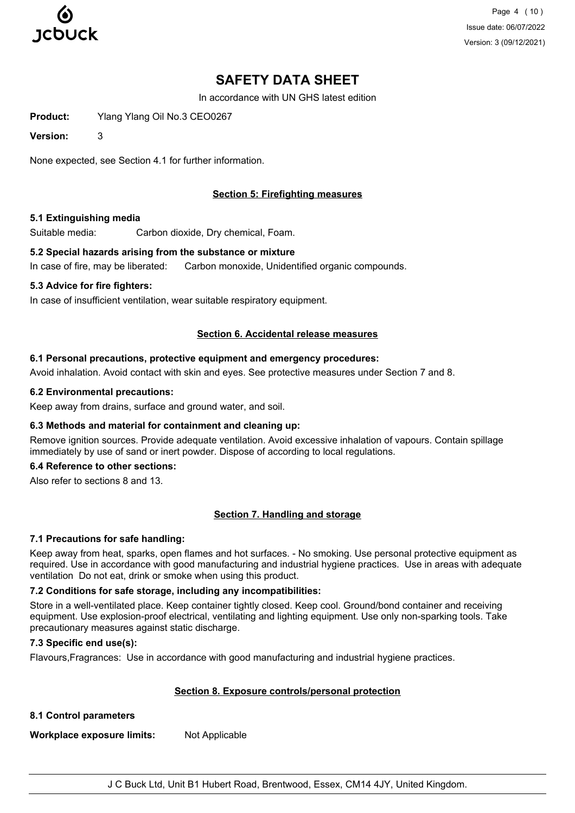

Page 4 (10) Issue date: 06/07/2022 Version: 3 (09/12/2021)

# **SAFETY DATA SHEET**

In accordance with UN GHS latest edition

**Product:** Ylang Ylang Oil No.3 CEO0267

**Version:** 3

None expected, see Section 4.1 for further information.

## **Section 5: Firefighting measures**

#### **5.1 Extinguishing media**

Suitable media: Carbon dioxide, Dry chemical, Foam.

#### **5.2 Special hazards arising from the substance or mixture**

In case of fire, may be liberated: Carbon monoxide, Unidentified organic compounds.

#### **5.3 Advice for fire fighters:**

In case of insufficient ventilation, wear suitable respiratory equipment.

#### **Section 6. Accidental release measures**

#### **6.1 Personal precautions, protective equipment and emergency procedures:**

Avoid inhalation. Avoid contact with skin and eyes. See protective measures under Section 7 and 8.

#### **6.2 Environmental precautions:**

Keep away from drains, surface and ground water, and soil.

## **6.3 Methods and material for containment and cleaning up:**

Remove ignition sources. Provide adequate ventilation. Avoid excessive inhalation of vapours. Contain spillage immediately by use of sand or inert powder. Dispose of according to local regulations.

## **6.4 Reference to other sections:**

Also refer to sections 8 and 13.

## **Section 7. Handling and storage**

## **7.1 Precautions for safe handling:**

Keep away from heat, sparks, open flames and hot surfaces. - No smoking. Use personal protective equipment as required. Use in accordance with good manufacturing and industrial hygiene practices. Use in areas with adequate ventilation Do not eat, drink or smoke when using this product.

## **7.2 Conditions for safe storage, including any incompatibilities:**

Store in a well-ventilated place. Keep container tightly closed. Keep cool. Ground/bond container and receiving equipment. Use explosion-proof electrical, ventilating and lighting equipment. Use only non-sparking tools. Take precautionary measures against static discharge.

## **7.3 Specific end use(s):**

Flavours,Fragrances: Use in accordance with good manufacturing and industrial hygiene practices.

## **Section 8. Exposure controls/personal protection**

**8.1 Control parameters**

**Workplace exposure limits:** Not Applicable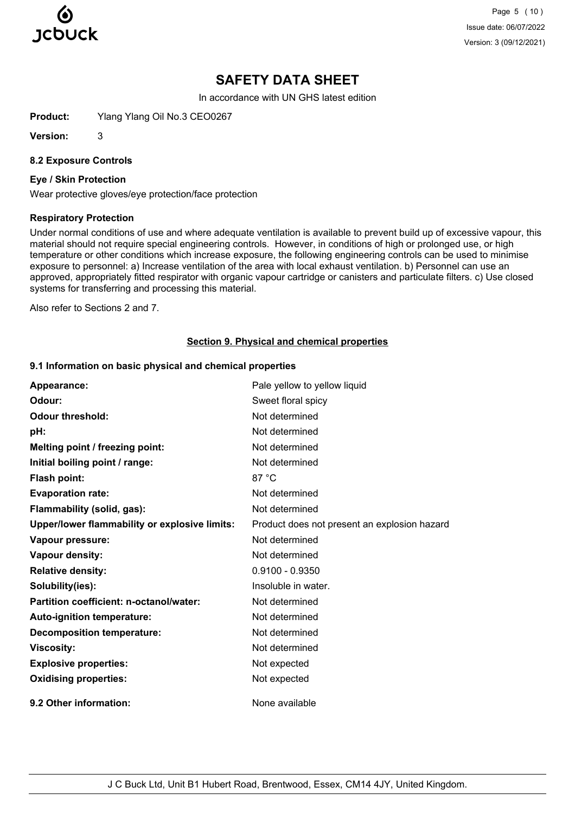

Page 5 (10) Issue date: 06/07/2022 Version: 3 (09/12/2021)

# **SAFETY DATA SHEET**

In accordance with UN GHS latest edition

**Product:** Ylang Ylang Oil No.3 CEO0267

**Version:** 3

#### **8.2 Exposure Controls**

#### **Eye / Skin Protection**

Wear protective gloves/eye protection/face protection

#### **Respiratory Protection**

Under normal conditions of use and where adequate ventilation is available to prevent build up of excessive vapour, this material should not require special engineering controls. However, in conditions of high or prolonged use, or high temperature or other conditions which increase exposure, the following engineering controls can be used to minimise exposure to personnel: a) Increase ventilation of the area with local exhaust ventilation. b) Personnel can use an approved, appropriately fitted respirator with organic vapour cartridge or canisters and particulate filters. c) Use closed systems for transferring and processing this material.

Also refer to Sections 2 and 7.

#### **Section 9. Physical and chemical properties**

#### **9.1 Information on basic physical and chemical properties**

| Appearance:                                   | Pale yellow to yellow liquid                 |
|-----------------------------------------------|----------------------------------------------|
| Odour:                                        | Sweet floral spicy                           |
| <b>Odour threshold:</b>                       | Not determined                               |
| pH:                                           | Not determined                               |
| Melting point / freezing point:               | Not determined                               |
| Initial boiling point / range:                | Not determined                               |
| Flash point:                                  | 87 °C                                        |
| <b>Evaporation rate:</b>                      | Not determined                               |
| Flammability (solid, gas):                    | Not determined                               |
| Upper/lower flammability or explosive limits: | Product does not present an explosion hazard |
| Vapour pressure:                              | Not determined                               |
| Vapour density:                               | Not determined                               |
| <b>Relative density:</b>                      | $0.9100 - 0.9350$                            |
| Solubility(ies):                              | Insoluble in water.                          |
| Partition coefficient: n-octanol/water:       | Not determined                               |
| Auto-ignition temperature:                    | Not determined                               |
| <b>Decomposition temperature:</b>             | Not determined                               |
| <b>Viscosity:</b>                             | Not determined                               |
| <b>Explosive properties:</b>                  | Not expected                                 |
| <b>Oxidising properties:</b>                  | Not expected                                 |
| 9.2 Other information:                        | None available                               |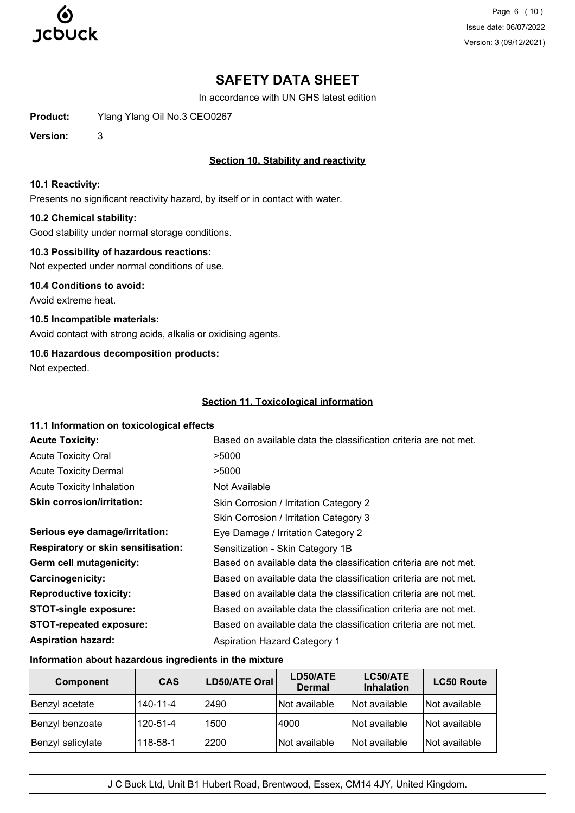

Page 6 (10) Issue date: 06/07/2022 Version: 3 (09/12/2021)

# **SAFETY DATA SHEET**

In accordance with UN GHS latest edition

**Product:** Ylang Ylang Oil No.3 CEO0267

**Version:** 3

## **Section 10. Stability and reactivity**

### **10.1 Reactivity:**

Presents no significant reactivity hazard, by itself or in contact with water.

## **10.2 Chemical stability:**

Good stability under normal storage conditions.

## **10.3 Possibility of hazardous reactions:**

Not expected under normal conditions of use.

**10.4 Conditions to avoid:** Avoid extreme heat.

**10.5 Incompatible materials:** Avoid contact with strong acids, alkalis or oxidising agents.

## **10.6 Hazardous decomposition products:**

Not expected.

## **Section 11. Toxicological information**

## **11.1 Information on toxicological effects Acute Toxicity: Acute Toxicity: Based on available data the classification criteria are not met.** Acute Toxicity Oral **2008** >5000 Acute Toxicity Dermal  $>5000$ Acute Toxicity Inhalation Not Available Skin Corrosion / Irritation Category 2 Skin Corrosion / Irritation Category 3 **Skin corrosion/irritation: Serious eye damage/irritation:** Eye Damage / Irritation Category 2 **Respiratory or skin sensitisation:** Sensitization - Skin Category 1B Germ cell mutagenicity: Based on available data the classification criteria are not met. **Carcinogenicity:** Based on available data the classification criteria are not met. **Reproductive toxicity:** Based on available data the classification criteria are not met. **STOT-single exposure:** Based on available data the classification criteria are not met. **STOT-repeated exposure:** Based on available data the classification criteria are not met. **Aspiration hazard:** Aspiration Hazard Category 1

## **Information about hazardous ingredients in the mixture**

| Component         | <b>CAS</b> | LD50/ATE Oral | LD50/ATE<br><b>Dermal</b>   | LC50/ATE<br><b>Inhalation</b> | <b>LC50 Route</b> |
|-------------------|------------|---------------|-----------------------------|-------------------------------|-------------------|
| Benzyl acetate    | 140-11-4   | 2490          | Not available               | Not available                 | Not available     |
| Benzyl benzoate   | 120-51-4   | 1500          | 4000                        | Not available                 | Not available     |
| Benzyl salicylate | 118-58-1   | 2200          | <i><b>Not available</b></i> | Not available                 | lNot available    |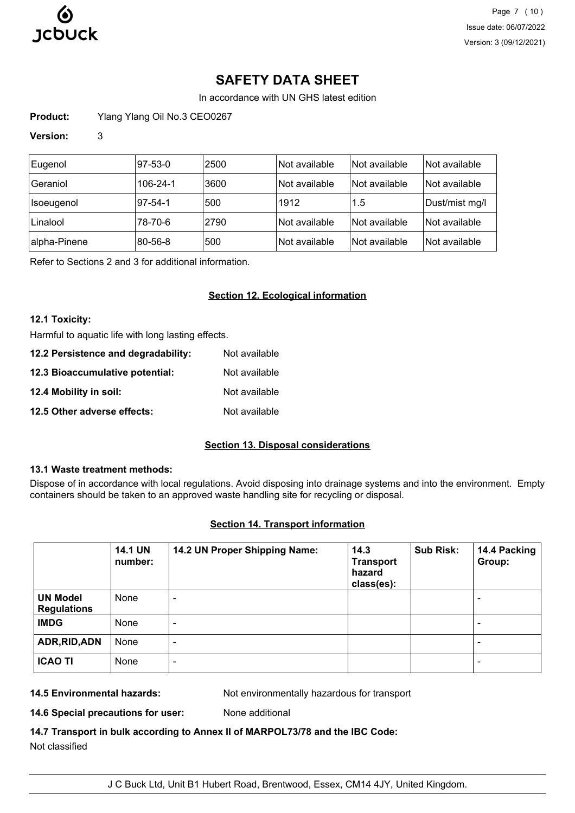

# **SAFETY DATA SHEET**

In accordance with UN GHS latest edition

**Product:** Ylang Ylang Oil No.3 CEO0267

## **Version:** 3

| Eugenol           | 97-53-0  | 2500 | Not available | Not available | Not available  |
|-------------------|----------|------|---------------|---------------|----------------|
| <b>Geraniol</b>   | 106-24-1 | 3600 | Not available | Not available | Not available  |
| <b>Isoeugenol</b> | 97-54-1  | 500  | 1912          | 1.5           | Dust/mist mg/l |
| Linalool          | 78-70-6  | 2790 | Not available | Not available | Not available  |
| alpha-Pinene      | 80-56-8  | 500  | Not available | Not available | Not available  |

Refer to Sections 2 and 3 for additional information.

## **Section 12. Ecological information**

#### **12.1 Toxicity:**

Harmful to aquatic life with long lasting effects.

| 12.2 Persistence and degradability: | Not available |
|-------------------------------------|---------------|
| 12.3 Bioaccumulative potential:     | Not available |
| 12.4 Mobility in soil:              | Not available |
| 12.5 Other adverse effects:         | Not available |

## **Section 13. Disposal considerations**

## **13.1 Waste treatment methods:**

Dispose of in accordance with local regulations. Avoid disposing into drainage systems and into the environment. Empty containers should be taken to an approved waste handling site for recycling or disposal.

## **Section 14. Transport information**

|                                       | <b>14.1 UN</b><br>number: | 14.2 UN Proper Shipping Name: | 14.3<br><b>Transport</b><br>hazard<br>class(es): | <b>Sub Risk:</b> | 14.4 Packing<br>Group:   |
|---------------------------------------|---------------------------|-------------------------------|--------------------------------------------------|------------------|--------------------------|
| <b>UN Model</b><br><b>Regulations</b> | None                      | -                             |                                                  |                  | $\overline{\phantom{0}}$ |
| <b>IMDG</b>                           | None                      | $\overline{\phantom{a}}$      |                                                  |                  | ۰                        |
| ADR, RID, ADN                         | None                      | $\overline{\phantom{a}}$      |                                                  |                  | $\overline{\phantom{0}}$ |
| <b>ICAO TI</b>                        | None                      | -                             |                                                  |                  | $\overline{\phantom{0}}$ |

**14.5 Environmental hazards:** Not environmentally hazardous for transport

**14.6 Special precautions for user:** None additional

**14.7 Transport in bulk according to Annex II of MARPOL73/78 and the IBC Code:** Not classified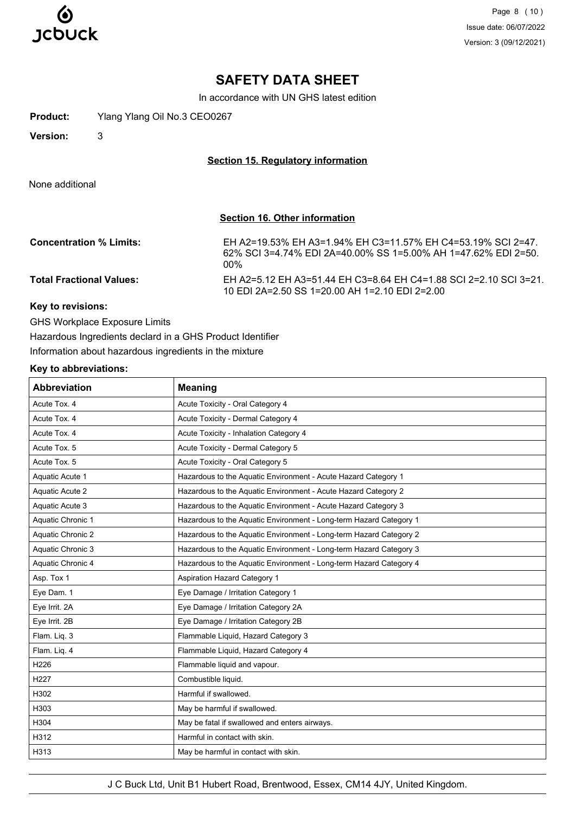

Page 8 (10) Issue date: 06/07/2022 Version: 3 (09/12/2021)

# **SAFETY DATA SHEET**

In accordance with UN GHS latest edition

**Product:** Ylang Ylang Oil No.3 CEO0267

**Version:** 3

#### **Section 15. Regulatory information**

None additional

## **Section 16. Other information**

| <b>Concentration % Limits:</b>  | EH A2=19.53% EH A3=1.94% EH C3=11.57% EH C4=53.19% SCI 2=47.<br>62% SCL 3=4.74% EDL 2A=40.00% SS 1=5.00% AH 1=47.62% EDL 2=50.<br>$00\%$ |
|---------------------------------|------------------------------------------------------------------------------------------------------------------------------------------|
| <b>Total Fractional Values:</b> | EH A2=5.12 EH A3=51.44 EH C3=8.64 EH C4=1.88 SCI 2=2.10 SCI 3=21.<br>10 EDI 2A=2.50 SS 1=20.00 AH 1=2.10 EDI 2=2.00                      |

## **Key to revisions:**

GHS Workplace Exposure Limits

Hazardous Ingredients declard in a GHS Product Identifier Information about hazardous ingredients in the mixture

#### **Key to abbreviations:**

| <b>Abbreviation</b> | <b>Meaning</b>                                                     |
|---------------------|--------------------------------------------------------------------|
| Acute Tox. 4        | Acute Toxicity - Oral Category 4                                   |
| Acute Tox. 4        | Acute Toxicity - Dermal Category 4                                 |
| Acute Tox, 4        | Acute Toxicity - Inhalation Category 4                             |
| Acute Tox. 5        | Acute Toxicity - Dermal Category 5                                 |
| Acute Tox. 5        | Acute Toxicity - Oral Category 5                                   |
| Aquatic Acute 1     | Hazardous to the Aquatic Environment - Acute Hazard Category 1     |
| Aquatic Acute 2     | Hazardous to the Aquatic Environment - Acute Hazard Category 2     |
| Aquatic Acute 3     | Hazardous to the Aquatic Environment - Acute Hazard Category 3     |
| Aquatic Chronic 1   | Hazardous to the Aquatic Environment - Long-term Hazard Category 1 |
| Aquatic Chronic 2   | Hazardous to the Aquatic Environment - Long-term Hazard Category 2 |
| Aquatic Chronic 3   | Hazardous to the Aquatic Environment - Long-term Hazard Category 3 |
| Aquatic Chronic 4   | Hazardous to the Aquatic Environment - Long-term Hazard Category 4 |
| Asp. Tox 1          | <b>Aspiration Hazard Category 1</b>                                |
| Eye Dam. 1          | Eye Damage / Irritation Category 1                                 |
| Eye Irrit. 2A       | Eye Damage / Irritation Category 2A                                |
| Eye Irrit. 2B       | Eye Damage / Irritation Category 2B                                |
| Flam. Liq. 3        | Flammable Liquid, Hazard Category 3                                |
| Flam. Liq. 4        | Flammable Liquid, Hazard Category 4                                |
| H226                | Flammable liquid and vapour.                                       |
| H <sub>227</sub>    | Combustible liquid.                                                |
| H302                | Harmful if swallowed.                                              |
| H303                | May be harmful if swallowed.                                       |
| H304                | May be fatal if swallowed and enters airways.                      |
| H312                | Harmful in contact with skin.                                      |
| H313                | May be harmful in contact with skin.                               |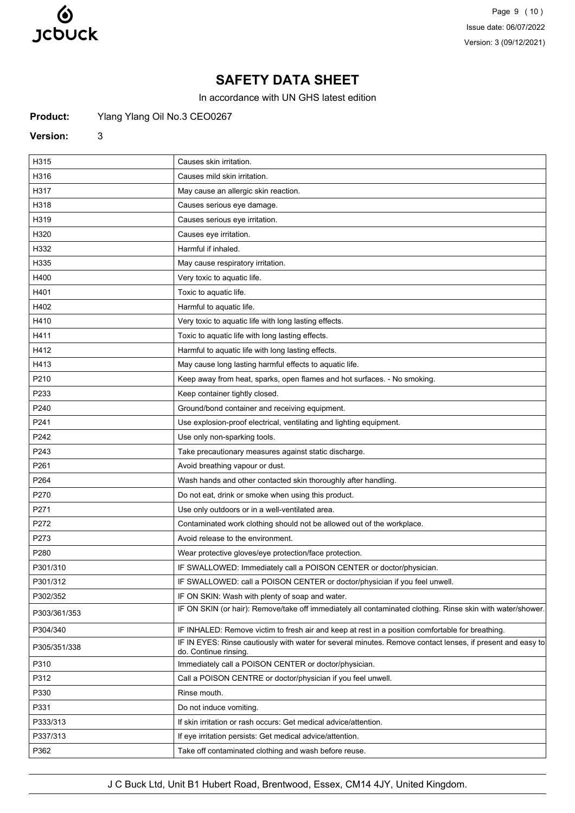

Page 9 (10) Issue date: 06/07/2022 Version: 3 (09/12/2021)

# **SAFETY DATA SHEET**

In accordance with UN GHS latest edition

Product: Ylang Ylang Oil No.3 CEO0267

#### **Version:** 3

| H315         | Causes skin irritation.                                                                                                             |
|--------------|-------------------------------------------------------------------------------------------------------------------------------------|
| H316         | Causes mild skin irritation.                                                                                                        |
| H317         | May cause an allergic skin reaction.                                                                                                |
| H318         | Causes serious eye damage.                                                                                                          |
| H319         | Causes serious eye irritation.                                                                                                      |
| H320         | Causes eye irritation.                                                                                                              |
| H332         | Harmful if inhaled.                                                                                                                 |
| H335         | May cause respiratory irritation.                                                                                                   |
| H400         | Very toxic to aquatic life.                                                                                                         |
| H401         | Toxic to aquatic life.                                                                                                              |
| H402         | Harmful to aquatic life.                                                                                                            |
| H410         | Very toxic to aquatic life with long lasting effects.                                                                               |
| H411         | Toxic to aquatic life with long lasting effects.                                                                                    |
| H412         | Harmful to aquatic life with long lasting effects.                                                                                  |
| H413         | May cause long lasting harmful effects to aquatic life.                                                                             |
| P210         | Keep away from heat, sparks, open flames and hot surfaces. - No smoking.                                                            |
| P233         | Keep container tightly closed.                                                                                                      |
| P240         | Ground/bond container and receiving equipment.                                                                                      |
| P241         | Use explosion-proof electrical, ventilating and lighting equipment.                                                                 |
| P242         | Use only non-sparking tools.                                                                                                        |
| P243         | Take precautionary measures against static discharge.                                                                               |
| P261         | Avoid breathing vapour or dust.                                                                                                     |
| P264         | Wash hands and other contacted skin thoroughly after handling.                                                                      |
| P270         | Do not eat, drink or smoke when using this product.                                                                                 |
| P271         | Use only outdoors or in a well-ventilated area.                                                                                     |
| P272         | Contaminated work clothing should not be allowed out of the workplace.                                                              |
| P273         | Avoid release to the environment.                                                                                                   |
| P280         | Wear protective gloves/eye protection/face protection.                                                                              |
| P301/310     | IF SWALLOWED: Immediately call a POISON CENTER or doctor/physician.                                                                 |
| P301/312     | IF SWALLOWED: call a POISON CENTER or doctor/physician if you feel unwell.                                                          |
| P302/352     | IF ON SKIN: Wash with plenty of soap and water.                                                                                     |
| P303/361/353 | IF ON SKIN (or hair): Remove/take off immediately all contaminated clothing. Rinse skin with water/shower.                          |
| P304/340     | IF INHALED: Remove victim to fresh air and keep at rest in a position comfortable for breathing.                                    |
| P305/351/338 | IF IN EYES: Rinse cautiously with water for several minutes. Remove contact lenses, if present and easy to<br>do. Continue rinsing. |
| P310         | Immediately call a POISON CENTER or doctor/physician.                                                                               |
| P312         | Call a POISON CENTRE or doctor/physician if you feel unwell.                                                                        |
| P330         | Rinse mouth.                                                                                                                        |
| P331         | Do not induce vomiting.                                                                                                             |
| P333/313     | If skin irritation or rash occurs: Get medical advice/attention.                                                                    |
| P337/313     | If eye irritation persists: Get medical advice/attention.                                                                           |
| P362         | Take off contaminated clothing and wash before reuse.                                                                               |